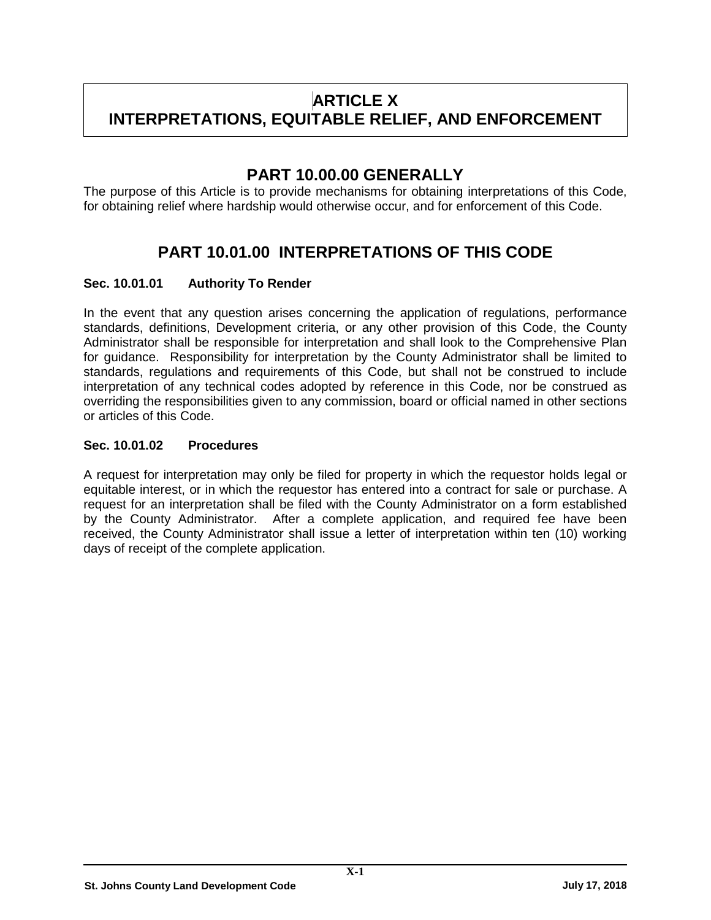# **ARTICLE X INTERPRETATIONS, EQUITABLE RELIEF, AND ENFORCEMENT**

## **PART 10.00.00 GENERALLY**

The purpose of this Article is to provide mechanisms for obtaining interpretations of this Code, for obtaining relief where hardship would otherwise occur, and for enforcement of this Code.

## **PART 10.01.00 INTERPRETATIONS OF THIS CODE**

## **Sec. 10.01.01 Authority To Render**

In the event that any question arises concerning the application of regulations, performance standards, definitions, Development criteria, or any other provision of this Code, the County Administrator shall be responsible for interpretation and shall look to the Comprehensive Plan for guidance. Responsibility for interpretation by the County Administrator shall be limited to standards, regulations and requirements of this Code, but shall not be construed to include interpretation of any technical codes adopted by reference in this Code, nor be construed as overriding the responsibilities given to any commission, board or official named in other sections or articles of this Code.

## **Sec. 10.01.02 Procedures**

A request for interpretation may only be filed for property in which the requestor holds legal or equitable interest, or in which the requestor has entered into a contract for sale or purchase. A request for an interpretation shall be filed with the County Administrator on a form established by the County Administrator. After a complete application, and required fee have been received, the County Administrator shall issue a letter of interpretation within ten (10) working days of receipt of the complete application.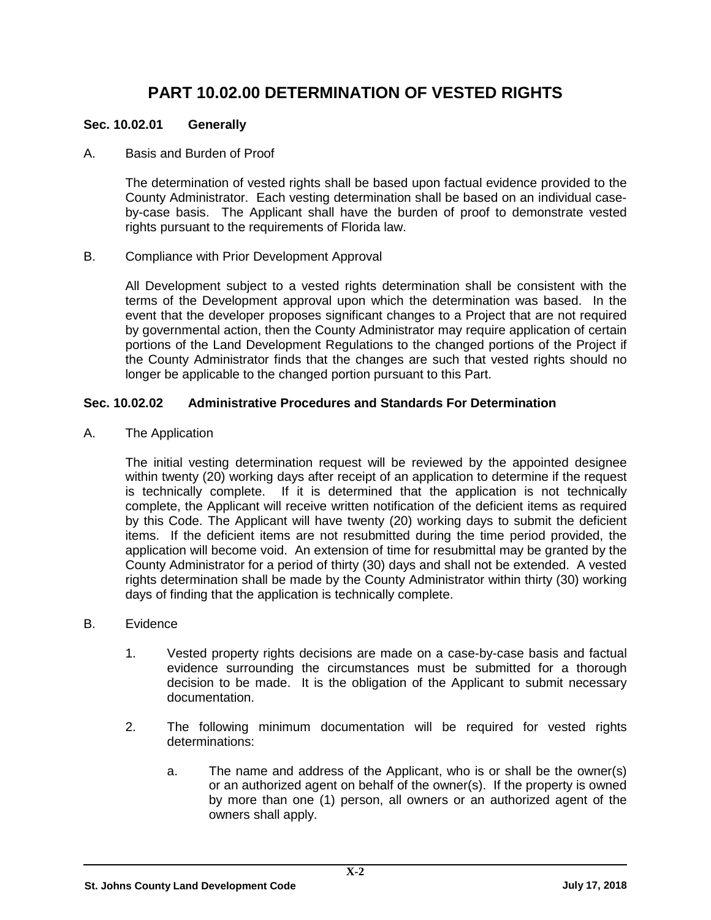## **PART 10.02.00 DETERMINATION OF VESTED RIGHTS**

## **Sec. 10.02.01 Generally**

A. Basis and Burden of Proof

The determination of vested rights shall be based upon factual evidence provided to the County Administrator. Each vesting determination shall be based on an individual caseby-case basis.The Applicant shall have the burden of proof to demonstrate vested rights pursuant to the requirements of Florida law.

B. Compliance with Prior Development Approval

All Development subject to a vested rights determination shall be consistent with the terms of the Development approval upon which the determination was based. In the event that the developer proposes significant changes to a Project that are not required by governmental action, then the County Administrator may require application of certain portions of the Land Development Regulations to the changed portions of the Project if the County Administrator finds that the changes are such that vested rights should no longer be applicable to the changed portion pursuant to this Part.

## **Sec. 10.02.02 Administrative Procedures and Standards For Determination**

A. The Application

The initial vesting determination request will be reviewed by the appointed designee within twenty (20) working days after receipt of an application to determine if the request is technically complete. If it is determined that the application is not technically complete, the Applicant will receive written notification of the deficient items as required by this Code. The Applicant will have twenty (20) working days to submit the deficient items. If the deficient items are not resubmitted during the time period provided, the application will become void. An extension of time for resubmittal may be granted by the County Administrator for a period of thirty (30) days and shall not be extended. A vested rights determination shall be made by the County Administrator within thirty (30) working days of finding that the application is technically complete.

- B. Evidence
	- 1. Vested property rights decisions are made on a case-by-case basis and factual evidence surrounding the circumstances must be submitted for a thorough decision to be made. It is the obligation of the Applicant to submit necessary documentation.
	- 2. The following minimum documentation will be required for vested rights determinations:
		- a. The name and address of the Applicant, who is or shall be the owner(s) or an authorized agent on behalf of the owner(s). If the property is owned by more than one (1) person, all owners or an authorized agent of the owners shall apply.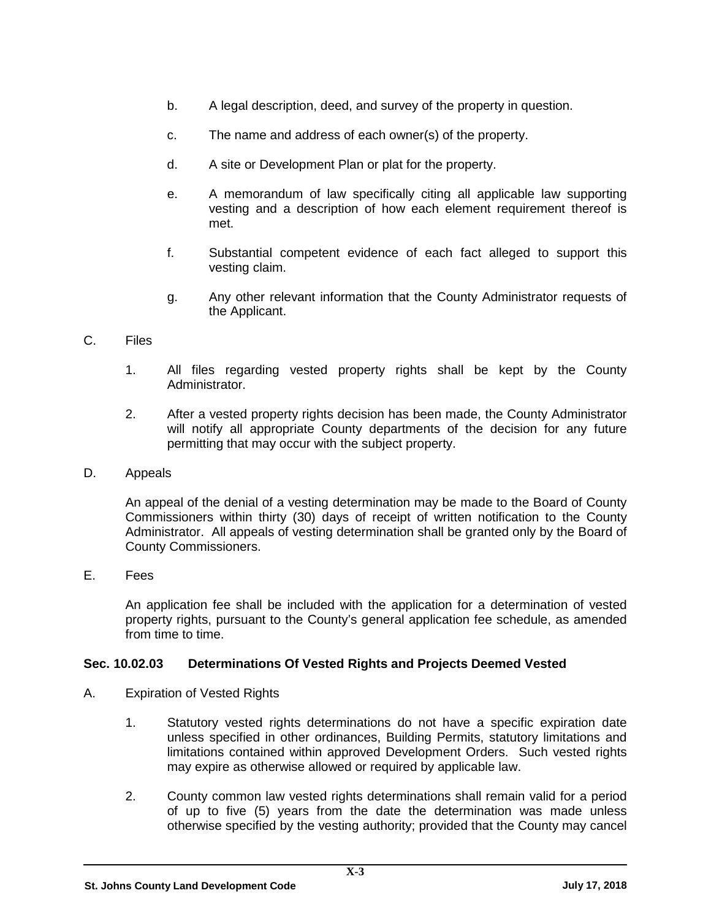- b. A legal description, deed, and survey of the property in question.
- c. The name and address of each owner(s) of the property.
- d. A site or Development Plan or plat for the property.
- e. A memorandum of law specifically citing all applicable law supporting vesting and a description of how each element requirement thereof is met.
- f. Substantial competent evidence of each fact alleged to support this vesting claim.
- g. Any other relevant information that the County Administrator requests of the Applicant.

### C. Files

- 1. All files regarding vested property rights shall be kept by the County Administrator.
- 2. After a vested property rights decision has been made, the County Administrator will notify all appropriate County departments of the decision for any future permitting that may occur with the subject property.
- D. Appeals

An appeal of the denial of a vesting determination may be made to the Board of County Commissioners within thirty (30) days of receipt of written notification to the County Administrator. All appeals of vesting determination shall be granted only by the Board of County Commissioners.

E. Fees

An application fee shall be included with the application for a determination of vested property rights, pursuant to the County's general application fee schedule, as amended from time to time.

### **Sec. 10.02.03 Determinations Of Vested Rights and Projects Deemed Vested**

- A. Expiration of Vested Rights
	- 1. Statutory vested rights determinations do not have a specific expiration date unless specified in other ordinances, Building Permits, statutory limitations and limitations contained within approved Development Orders. Such vested rights may expire as otherwise allowed or required by applicable law.
	- 2. County common law vested rights determinations shall remain valid for a period of up to five (5) years from the date the determination was made unless otherwise specified by the vesting authority; provided that the County may cancel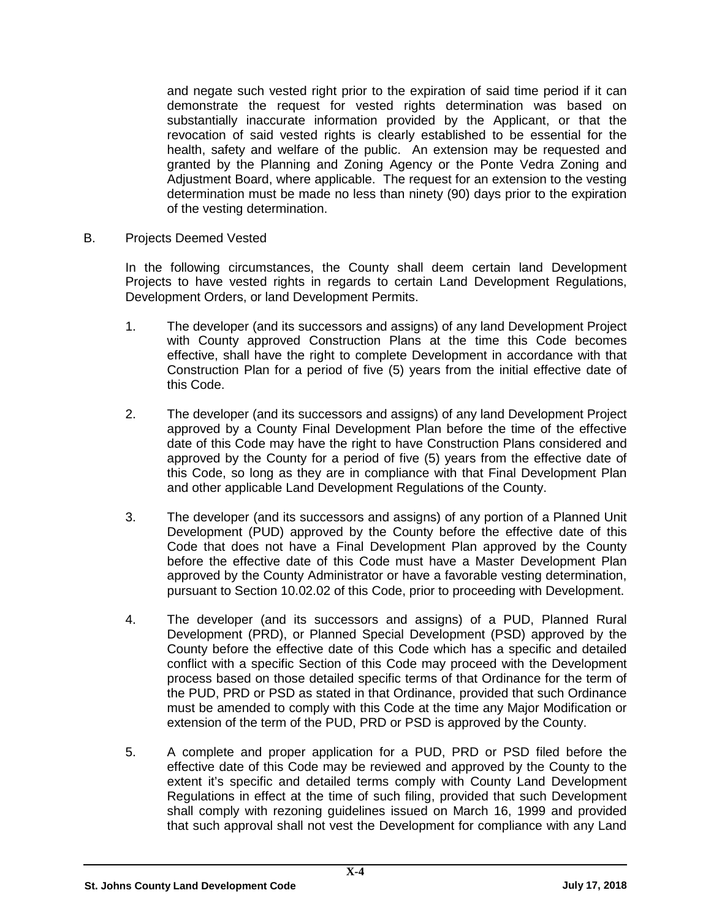and negate such vested right prior to the expiration of said time period if it can demonstrate the request for vested rights determination was based on substantially inaccurate information provided by the Applicant, or that the revocation of said vested rights is clearly established to be essential for the health, safety and welfare of the public. An extension may be requested and granted by the Planning and Zoning Agency or the Ponte Vedra Zoning and Adjustment Board, where applicable. The request for an extension to the vesting determination must be made no less than ninety (90) days prior to the expiration of the vesting determination.

B. Projects Deemed Vested

In the following circumstances, the County shall deem certain land Development Projects to have vested rights in regards to certain Land Development Regulations, Development Orders, or land Development Permits.

- 1. The developer (and its successors and assigns) of any land Development Project with County approved Construction Plans at the time this Code becomes effective, shall have the right to complete Development in accordance with that Construction Plan for a period of five (5) years from the initial effective date of this Code.
- 2. The developer (and its successors and assigns) of any land Development Project approved by a County Final Development Plan before the time of the effective date of this Code may have the right to have Construction Plans considered and approved by the County for a period of five (5) years from the effective date of this Code, so long as they are in compliance with that Final Development Plan and other applicable Land Development Regulations of the County.
- 3. The developer (and its successors and assigns) of any portion of a Planned Unit Development (PUD) approved by the County before the effective date of this Code that does not have a Final Development Plan approved by the County before the effective date of this Code must have a Master Development Plan approved by the County Administrator or have a favorable vesting determination, pursuant to Section 10.02.02 of this Code, prior to proceeding with Development.
- 4. The developer (and its successors and assigns) of a PUD, Planned Rural Development (PRD), or Planned Special Development (PSD) approved by the County before the effective date of this Code which has a specific and detailed conflict with a specific Section of this Code may proceed with the Development process based on those detailed specific terms of that Ordinance for the term of the PUD, PRD or PSD as stated in that Ordinance, provided that such Ordinance must be amended to comply with this Code at the time any Major Modification or extension of the term of the PUD, PRD or PSD is approved by the County.
- 5. A complete and proper application for a PUD, PRD or PSD filed before the effective date of this Code may be reviewed and approved by the County to the extent it's specific and detailed terms comply with County Land Development Regulations in effect at the time of such filing, provided that such Development shall comply with rezoning guidelines issued on March 16, 1999 and provided that such approval shall not vest the Development for compliance with any Land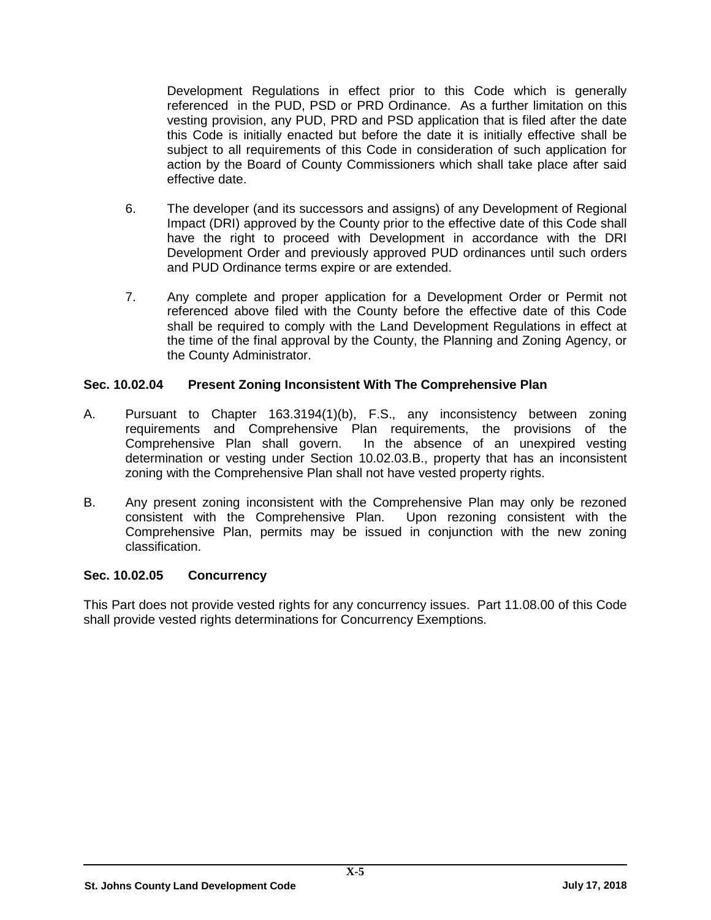Development Regulations in effect prior to this Code which is generally referenced in the PUD, PSD or PRD Ordinance. As a further limitation on this vesting provision, any PUD, PRD and PSD application that is filed after the date this Code is initially enacted but before the date it is initially effective shall be subject to all requirements of this Code in consideration of such application for action by the Board of County Commissioners which shall take place after said effective date.

- 6. The developer (and its successors and assigns) of any Development of Regional Impact (DRI) approved by the County prior to the effective date of this Code shall have the right to proceed with Development in accordance with the DRI Development Order and previously approved PUD ordinances until such orders and PUD Ordinance terms expire or are extended.
- 7. Any complete and proper application for a Development Order or Permit not referenced above filed with the County before the effective date of this Code shall be required to comply with the Land Development Regulations in effect at the time of the final approval by the County, the Planning and Zoning Agency, or the County Administrator.

### **Sec. 10.02.04 Present Zoning Inconsistent With The Comprehensive Plan**

- A. Pursuant to Chapter 163.3194(1)(b), F.S., any inconsistency between zoning requirements and Comprehensive Plan requirements, the provisions of the Comprehensive Plan shall govern. In the absence of an unexpired vesting determination or vesting under Section 10.02.03.B., property that has an inconsistent zoning with the Comprehensive Plan shall not have vested property rights.
- B. Any present zoning inconsistent with the Comprehensive Plan may only be rezoned consistent with the Comprehensive Plan. Upon rezoning consistent with the consistent with the Comprehensive Plan. Comprehensive Plan, permits may be issued in conjunction with the new zoning classification.

## **Sec. 10.02.05 Concurrency**

This Part does not provide vested rights for any concurrency issues. Part 11.08.00 of this Code shall provide vested rights determinations for Concurrency Exemptions.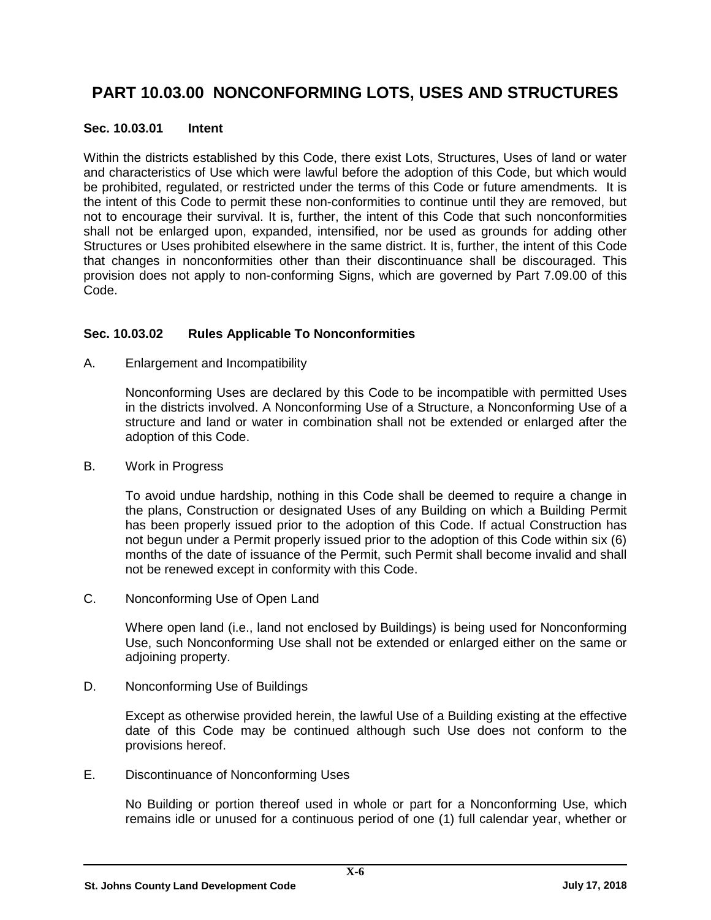## **PART 10.03.00 NONCONFORMING LOTS, USES AND STRUCTURES**

## **Sec. 10.03.01 Intent**

Within the districts established by this Code, there exist Lots, Structures, Uses of land or water and characteristics of Use which were lawful before the adoption of this Code, but which would be prohibited, regulated, or restricted under the terms of this Code or future amendments. It is the intent of this Code to permit these non-conformities to continue until they are removed, but not to encourage their survival. It is, further, the intent of this Code that such nonconformities shall not be enlarged upon, expanded, intensified, nor be used as grounds for adding other Structures or Uses prohibited elsewhere in the same district. It is, further, the intent of this Code that changes in nonconformities other than their discontinuance shall be discouraged. This provision does not apply to non-conforming Signs, which are governed by Part 7.09.00 of this Code.

## **Sec. 10.03.02 Rules Applicable To Nonconformities**

A. Enlargement and Incompatibility

Nonconforming Uses are declared by this Code to be incompatible with permitted Uses in the districts involved. A Nonconforming Use of a Structure, a Nonconforming Use of a structure and land or water in combination shall not be extended or enlarged after the adoption of this Code.

B. Work in Progress

To avoid undue hardship, nothing in this Code shall be deemed to require a change in the plans, Construction or designated Uses of any Building on which a Building Permit has been properly issued prior to the adoption of this Code. If actual Construction has not begun under a Permit properly issued prior to the adoption of this Code within six (6) months of the date of issuance of the Permit, such Permit shall become invalid and shall not be renewed except in conformity with this Code.

C. Nonconforming Use of Open Land

Where open land (i.e., land not enclosed by Buildings) is being used for Nonconforming Use, such Nonconforming Use shall not be extended or enlarged either on the same or adjoining property.

D. Nonconforming Use of Buildings

Except as otherwise provided herein, the lawful Use of a Building existing at the effective date of this Code may be continued although such Use does not conform to the provisions hereof.

E. Discontinuance of Nonconforming Uses

No Building or portion thereof used in whole or part for a Nonconforming Use, which remains idle or unused for a continuous period of one (1) full calendar year, whether or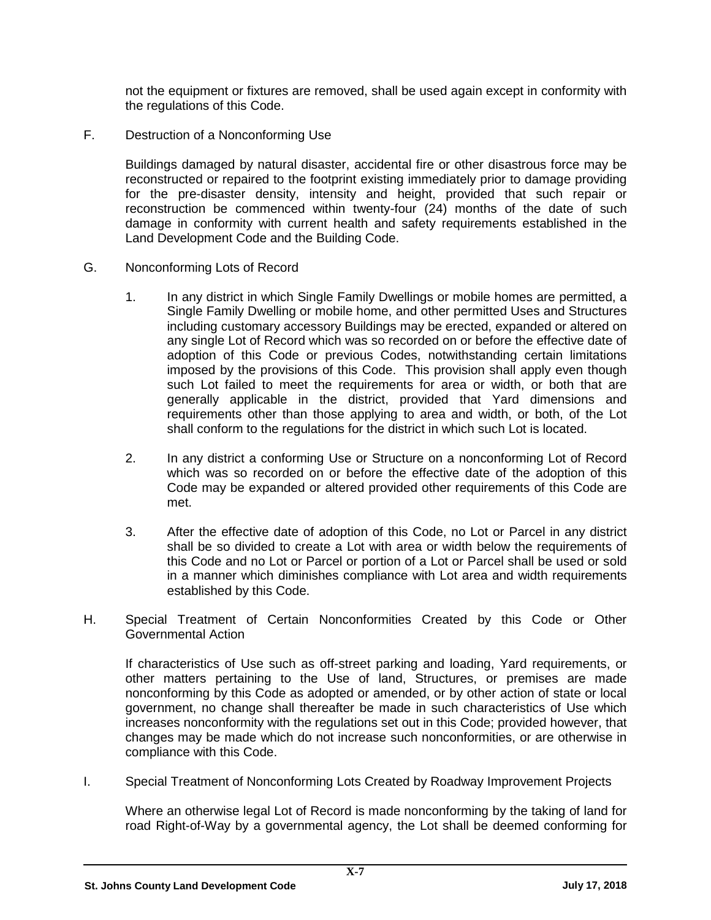not the equipment or fixtures are removed, shall be used again except in conformity with the regulations of this Code.

F. Destruction of a Nonconforming Use

Buildings damaged by natural disaster, accidental fire or other disastrous force may be reconstructed or repaired to the footprint existing immediately prior to damage providing for the pre-disaster density, intensity and height, provided that such repair or reconstruction be commenced within twenty-four (24) months of the date of such damage in conformity with current health and safety requirements established in the Land Development Code and the Building Code.

- G. Nonconforming Lots of Record
	- 1. In any district in which Single Family Dwellings or mobile homes are permitted, a Single Family Dwelling or mobile home, and other permitted Uses and Structures including customary accessory Buildings may be erected, expanded or altered on any single Lot of Record which was so recorded on or before the effective date of adoption of this Code or previous Codes, notwithstanding certain limitations imposed by the provisions of this Code. This provision shall apply even though such Lot failed to meet the requirements for area or width, or both that are generally applicable in the district, provided that Yard dimensions and requirements other than those applying to area and width, or both, of the Lot shall conform to the regulations for the district in which such Lot is located.
	- 2. In any district a conforming Use or Structure on a nonconforming Lot of Record which was so recorded on or before the effective date of the adoption of this Code may be expanded or altered provided other requirements of this Code are met.
	- 3. After the effective date of adoption of this Code, no Lot or Parcel in any district shall be so divided to create a Lot with area or width below the requirements of this Code and no Lot or Parcel or portion of a Lot or Parcel shall be used or sold in a manner which diminishes compliance with Lot area and width requirements established by this Code.
- H. Special Treatment of Certain Nonconformities Created by this Code or Other Governmental Action

If characteristics of Use such as off-street parking and loading, Yard requirements, or other matters pertaining to the Use of land, Structures, or premises are made nonconforming by this Code as adopted or amended, or by other action of state or local government, no change shall thereafter be made in such characteristics of Use which increases nonconformity with the regulations set out in this Code; provided however, that changes may be made which do not increase such nonconformities, or are otherwise in compliance with this Code.

I. Special Treatment of Nonconforming Lots Created by Roadway Improvement Projects

Where an otherwise legal Lot of Record is made nonconforming by the taking of land for road Right-of-Way by a governmental agency, the Lot shall be deemed conforming for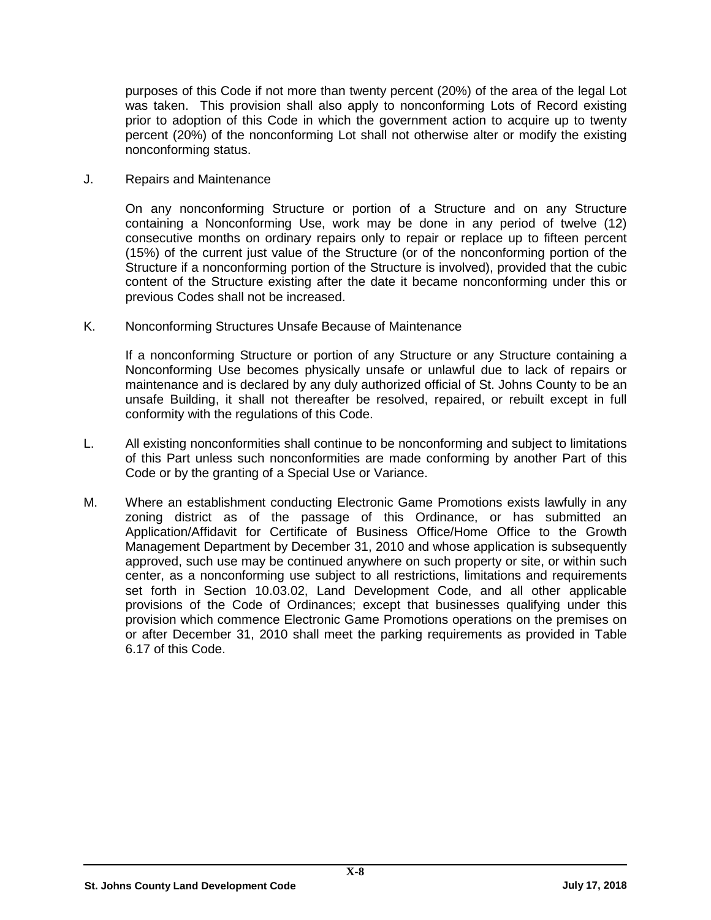purposes of this Code if not more than twenty percent (20%) of the area of the legal Lot was taken. This provision shall also apply to nonconforming Lots of Record existing prior to adoption of this Code in which the government action to acquire up to twenty percent (20%) of the nonconforming Lot shall not otherwise alter or modify the existing nonconforming status.

J. Repairs and Maintenance

On any nonconforming Structure or portion of a Structure and on any Structure containing a Nonconforming Use, work may be done in any period of twelve (12) consecutive months on ordinary repairs only to repair or replace up to fifteen percent (15%) of the current just value of the Structure (or of the nonconforming portion of the Structure if a nonconforming portion of the Structure is involved), provided that the cubic content of the Structure existing after the date it became nonconforming under this or previous Codes shall not be increased.

K. Nonconforming Structures Unsafe Because of Maintenance

If a nonconforming Structure or portion of any Structure or any Structure containing a Nonconforming Use becomes physically unsafe or unlawful due to lack of repairs or maintenance and is declared by any duly authorized official of St. Johns County to be an unsafe Building, it shall not thereafter be resolved, repaired, or rebuilt except in full conformity with the regulations of this Code.

- L. All existing nonconformities shall continue to be nonconforming and subject to limitations of this Part unless such nonconformities are made conforming by another Part of this Code or by the granting of a Special Use or Variance.
- M. Where an establishment conducting Electronic Game Promotions exists lawfully in any zoning district as of the passage of this Ordinance, or has submitted an Application/Affidavit for Certificate of Business Office/Home Office to the Growth Management Department by December 31, 2010 and whose application is subsequently approved, such use may be continued anywhere on such property or site, or within such center, as a nonconforming use subject to all restrictions, limitations and requirements set forth in Section 10.03.02, Land Development Code, and all other applicable provisions of the Code of Ordinances; except that businesses qualifying under this provision which commence Electronic Game Promotions operations on the premises on or after December 31, 2010 shall meet the parking requirements as provided in Table 6.17 of this Code.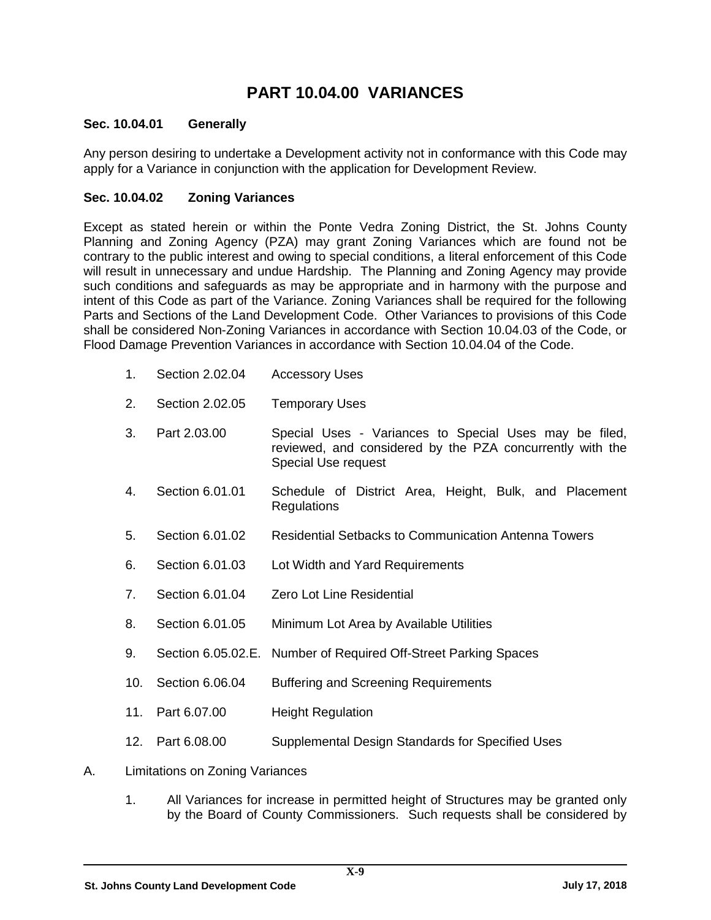## **PART 10.04.00 VARIANCES**

## **Sec. 10.04.01 Generally**

Any person desiring to undertake a Development activity not in conformance with this Code may apply for a Variance in conjunction with the application for Development Review.

## **Sec. 10.04.02 Zoning Variances**

Except as stated herein or within the Ponte Vedra Zoning District, the St. Johns County Planning and Zoning Agency (PZA) may grant Zoning Variances which are found not be contrary to the public interest and owing to special conditions, a literal enforcement of this Code will result in unnecessary and undue Hardship. The Planning and Zoning Agency may provide such conditions and safeguards as may be appropriate and in harmony with the purpose and intent of this Code as part of the Variance. Zoning Variances shall be required for the following Parts and Sections of the Land Development Code. Other Variances to provisions of this Code shall be considered Non-Zoning Variances in accordance with Section 10.04.03 of the Code, or Flood Damage Prevention Variances in accordance with Section 10.04.04 of the Code.

- 1. Section 2.02.04 Accessory Uses
- 2. Section 2.02.05 Temporary Uses
- 3. Part 2.03.00 Special Uses Variances to Special Uses may be filed, reviewed, and considered by the PZA concurrently with the Special Use request
- 4. Section 6.01.01 Schedule of District Area, Height, Bulk, and Placement Regulations
- 5. Section 6.01.02 Residential Setbacks to Communication Antenna Towers
- 6. Section 6.01.03 Lot Width and Yard Requirements
- 7. Section 6.01.04 Zero Lot Line Residential
- 8. Section 6.01.05 Minimum Lot Area by Available Utilities
- 9. Section 6.05.02.E. Number of Required Off-Street Parking Spaces
- 10. Section 6.06.04 Buffering and Screening Requirements
- 11. Part 6.07.00 Height Regulation
- 12. Part 6.08.00 Supplemental Design Standards for Specified Uses
- A. Limitations on Zoning Variances
	- 1. All Variances for increase in permitted height of Structures may be granted only by the Board of County Commissioners. Such requests shall be considered by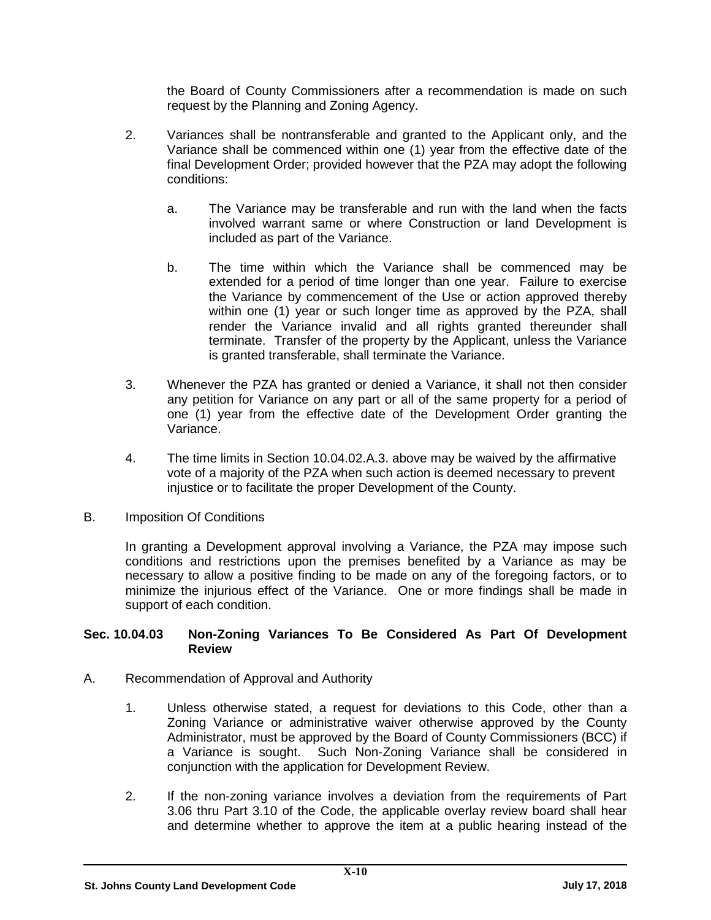the Board of County Commissioners after a recommendation is made on such request by the Planning and Zoning Agency.

- 2. Variances shall be nontransferable and granted to the Applicant only, and the Variance shall be commenced within one (1) year from the effective date of the final Development Order; provided however that the PZA may adopt the following conditions:
	- a. The Variance may be transferable and run with the land when the facts involved warrant same or where Construction or land Development is included as part of the Variance.
	- b. The time within which the Variance shall be commenced may be extended for a period of time longer than one year. Failure to exercise the Variance by commencement of the Use or action approved thereby within one (1) year or such longer time as approved by the PZA, shall render the Variance invalid and all rights granted thereunder shall terminate. Transfer of the property by the Applicant, unless the Variance is granted transferable, shall terminate the Variance.
- 3. Whenever the PZA has granted or denied a Variance, it shall not then consider any petition for Variance on any part or all of the same property for a period of one (1) year from the effective date of the Development Order granting the Variance.
- 4. The time limits in Section 10.04.02.A.3. above may be waived by the affirmative vote of a majority of the PZA when such action is deemed necessary to prevent injustice or to facilitate the proper Development of the County.
- B. Imposition Of Conditions

In granting a Development approval involving a Variance, the PZA may impose such conditions and restrictions upon the premises benefited by a Variance as may be necessary to allow a positive finding to be made on any of the foregoing factors, or to minimize the injurious effect of the Variance. One or more findings shall be made in support of each condition.

### **Sec. 10.04.03 Non-Zoning Variances To Be Considered As Part Of Development Review**

- A. Recommendation of Approval and Authority
	- 1. Unless otherwise stated, a request for deviations to this Code, other than a Zoning Variance or administrative waiver otherwise approved by the County Administrator, must be approved by the Board of County Commissioners (BCC) if a Variance is sought. Such Non-Zoning Variance shall be considered in conjunction with the application for Development Review.
	- 2. If the non-zoning variance involves a deviation from the requirements of Part 3.06 thru Part 3.10 of the Code, the applicable overlay review board shall hear and determine whether to approve the item at a public hearing instead of the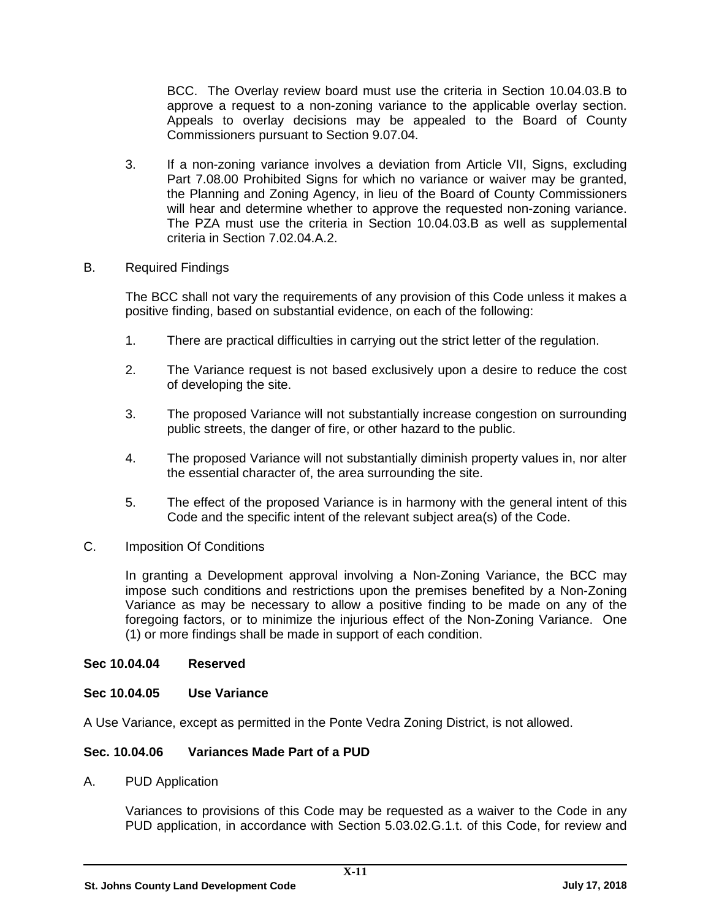BCC. The Overlay review board must use the criteria in Section 10.04.03.B to approve a request to a non-zoning variance to the applicable overlay section. Appeals to overlay decisions may be appealed to the Board of County Commissioners pursuant to Section 9.07.04.

3. If a non-zoning variance involves a deviation from Article VII, Signs, excluding Part 7.08.00 Prohibited Signs for which no variance or waiver may be granted, the Planning and Zoning Agency, in lieu of the Board of County Commissioners will hear and determine whether to approve the requested non-zoning variance. The PZA must use the criteria in Section 10.04.03.B as well as supplemental criteria in Section 7.02.04.A.2.

### B. Required Findings

The BCC shall not vary the requirements of any provision of this Code unless it makes a positive finding, based on substantial evidence, on each of the following:

- 1. There are practical difficulties in carrying out the strict letter of the regulation.
- 2. The Variance request is not based exclusively upon a desire to reduce the cost of developing the site.
- 3. The proposed Variance will not substantially increase congestion on surrounding public streets, the danger of fire, or other hazard to the public.
- 4. The proposed Variance will not substantially diminish property values in, nor alter the essential character of, the area surrounding the site.
- 5. The effect of the proposed Variance is in harmony with the general intent of this Code and the specific intent of the relevant subject area(s) of the Code.
- C. Imposition Of Conditions

In granting a Development approval involving a Non-Zoning Variance, the BCC may impose such conditions and restrictions upon the premises benefited by a Non-Zoning Variance as may be necessary to allow a positive finding to be made on any of the foregoing factors, or to minimize the injurious effect of the Non-Zoning Variance. One (1) or more findings shall be made in support of each condition.

### **Sec 10.04.04 Reserved**

### **Sec 10.04.05 Use Variance**

A Use Variance, except as permitted in the Ponte Vedra Zoning District, is not allowed.

### **Sec. 10.04.06 Variances Made Part of a PUD**

A. PUD Application

Variances to provisions of this Code may be requested as a waiver to the Code in any PUD application, in accordance with Section 5.03.02.G.1.t. of this Code, for review and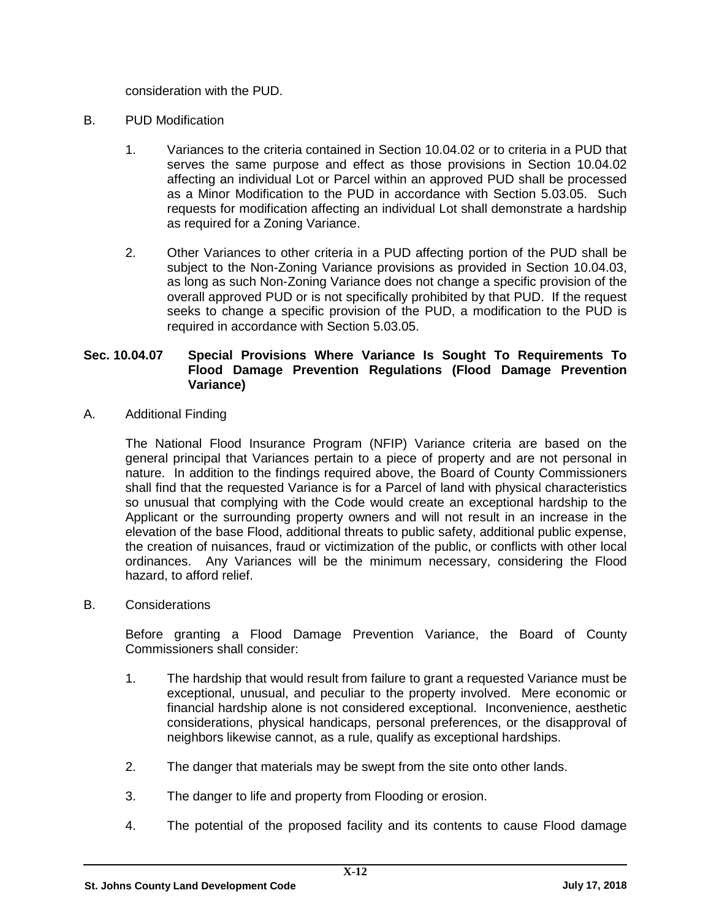consideration with the PUD.

- B. PUD Modification
	- 1. Variances to the criteria contained in Section 10.04.02 or to criteria in a PUD that serves the same purpose and effect as those provisions in Section 10.04.02 affecting an individual Lot or Parcel within an approved PUD shall be processed as a Minor Modification to the PUD in accordance with Section 5.03.05. Such requests for modification affecting an individual Lot shall demonstrate a hardship as required for a Zoning Variance.
	- 2. Other Variances to other criteria in a PUD affecting portion of the PUD shall be subject to the Non-Zoning Variance provisions as provided in Section 10.04.03, as long as such Non-Zoning Variance does not change a specific provision of the overall approved PUD or is not specifically prohibited by that PUD. If the request seeks to change a specific provision of the PUD, a modification to the PUD is required in accordance with Section 5.03.05.

### **Sec. 10.04.07 Special Provisions Where Variance Is Sought To Requirements To Flood Damage Prevention Regulations (Flood Damage Prevention Variance)**

A. Additional Finding

The National Flood Insurance Program (NFIP) Variance criteria are based on the general principal that Variances pertain to a piece of property and are not personal in nature. In addition to the findings required above, the Board of County Commissioners shall find that the requested Variance is for a Parcel of land with physical characteristics so unusual that complying with the Code would create an exceptional hardship to the Applicant or the surrounding property owners and will not result in an increase in the elevation of the base Flood, additional threats to public safety, additional public expense, the creation of nuisances, fraud or victimization of the public, or conflicts with other local ordinances. Any Variances will be the minimum necessary, considering the Flood hazard, to afford relief.

B. Considerations

Before granting a Flood Damage Prevention Variance, the Board of County Commissioners shall consider:

- 1. The hardship that would result from failure to grant a requested Variance must be exceptional, unusual, and peculiar to the property involved. Mere economic or financial hardship alone is not considered exceptional. Inconvenience, aesthetic considerations, physical handicaps, personal preferences, or the disapproval of neighbors likewise cannot, as a rule, qualify as exceptional hardships.
- 2. The danger that materials may be swept from the site onto other lands.
- 3. The danger to life and property from Flooding or erosion.
- 4. The potential of the proposed facility and its contents to cause Flood damage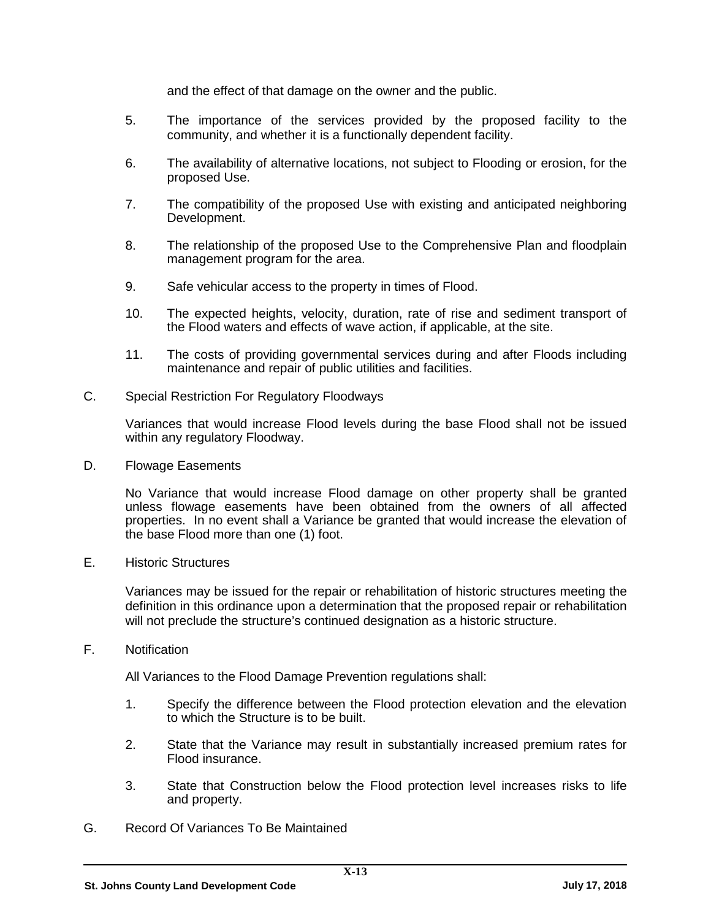and the effect of that damage on the owner and the public.

- 5. The importance of the services provided by the proposed facility to the community, and whether it is a functionally dependent facility.
- 6. The availability of alternative locations, not subject to Flooding or erosion, for the proposed Use.
- 7. The compatibility of the proposed Use with existing and anticipated neighboring Development.
- 8. The relationship of the proposed Use to the Comprehensive Plan and floodplain management program for the area.
- 9. Safe vehicular access to the property in times of Flood.
- 10. The expected heights, velocity, duration, rate of rise and sediment transport of the Flood waters and effects of wave action, if applicable, at the site.
- 11. The costs of providing governmental services during and after Floods including maintenance and repair of public utilities and facilities.
- C. Special Restriction For Regulatory Floodways

Variances that would increase Flood levels during the base Flood shall not be issued within any regulatory Floodway.

D. Flowage Easements

No Variance that would increase Flood damage on other property shall be granted unless flowage easements have been obtained from the owners of all affected properties. In no event shall a Variance be granted that would increase the elevation of the base Flood more than one (1) foot.

E. Historic Structures

Variances may be issued for the repair or rehabilitation of historic structures meeting the definition in this ordinance upon a determination that the proposed repair or rehabilitation will not preclude the structure's continued designation as a historic structure.

F. Notification

All Variances to the Flood Damage Prevention regulations shall:

- 1. Specify the difference between the Flood protection elevation and the elevation to which the Structure is to be built.
- 2. State that the Variance may result in substantially increased premium rates for Flood insurance.
- 3. State that Construction below the Flood protection level increases risks to life and property.
- G. Record Of Variances To Be Maintained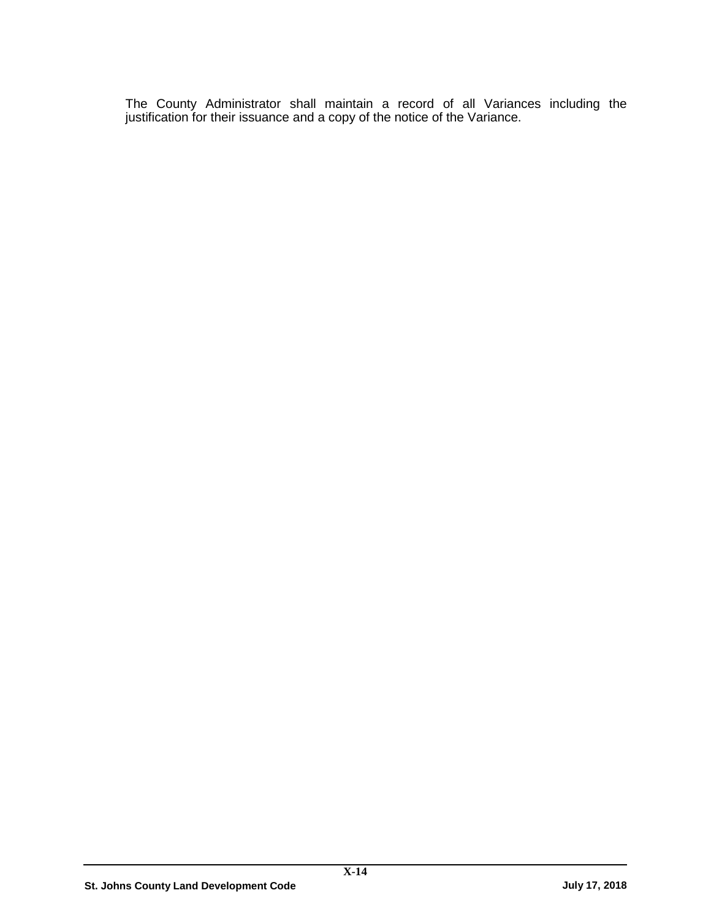The County Administrator shall maintain a record of all Variances including the justification for their issuance and a copy of the notice of the Variance.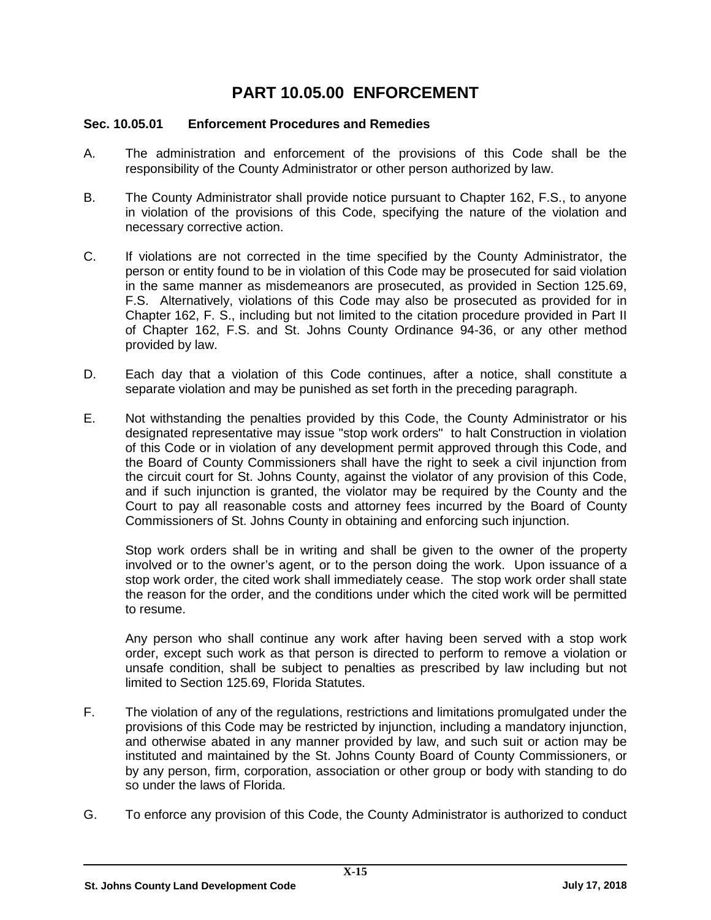## **PART 10.05.00 ENFORCEMENT**

## **Sec. 10.05.01 Enforcement Procedures and Remedies**

- A. The administration and enforcement of the provisions of this Code shall be the responsibility of the County Administrator or other person authorized by law.
- B. The County Administrator shall provide notice pursuant to Chapter 162, F.S., to anyone in violation of the provisions of this Code, specifying the nature of the violation and necessary corrective action.
- C. If violations are not corrected in the time specified by the County Administrator, the person or entity found to be in violation of this Code may be prosecuted for said violation in the same manner as misdemeanors are prosecuted, as provided in Section 125.69, F.S. Alternatively, violations of this Code may also be prosecuted as provided for in Chapter 162, F. S., including but not limited to the citation procedure provided in Part II of Chapter 162, F.S. and St. Johns County Ordinance 94-36, or any other method provided by law.
- D. Each day that a violation of this Code continues, after a notice, shall constitute a separate violation and may be punished as set forth in the preceding paragraph.
- E. Not withstanding the penalties provided by this Code, the County Administrator or his designated representative may issue "stop work orders" to halt Construction in violation of this Code or in violation of any development permit approved through this Code, and the Board of County Commissioners shall have the right to seek a civil injunction from the circuit court for St. Johns County, against the violator of any provision of this Code, and if such injunction is granted, the violator may be required by the County and the Court to pay all reasonable costs and attorney fees incurred by the Board of County Commissioners of St. Johns County in obtaining and enforcing such injunction.

Stop work orders shall be in writing and shall be given to the owner of the property involved or to the owner's agent, or to the person doing the work. Upon issuance of a stop work order, the cited work shall immediately cease. The stop work order shall state the reason for the order, and the conditions under which the cited work will be permitted to resume.

Any person who shall continue any work after having been served with a stop work order, except such work as that person is directed to perform to remove a violation or unsafe condition, shall be subject to penalties as prescribed by law including but not limited to Section 125.69, Florida Statutes.

- F. The violation of any of the regulations, restrictions and limitations promulgated under the provisions of this Code may be restricted by injunction, including a mandatory injunction, and otherwise abated in any manner provided by law, and such suit or action may be instituted and maintained by the St. Johns County Board of County Commissioners, or by any person, firm, corporation, association or other group or body with standing to do so under the laws of Florida.
- G. To enforce any provision of this Code, the County Administrator is authorized to conduct